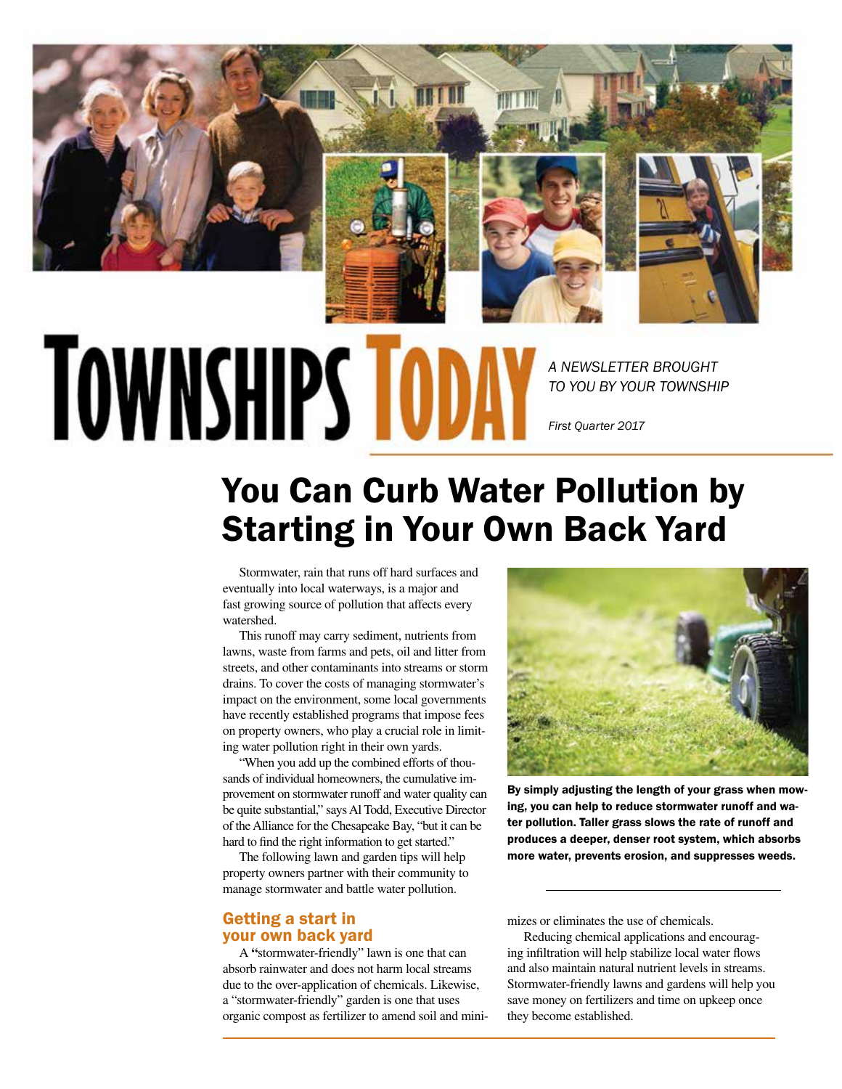

## **TOWNSHIPS TODA**

*A NEWSLETTER BROUGHT TO YOU BY YOUR TOWNSHIP*

*First Quarter 2017*

## You Can Curb Water Pollution by Starting in Your Own Back Yard

Stormwater, rain that runs off hard surfaces and eventually into local waterways, is a major and fast growing source of pollution that affects every watershed.

This runoff may carry sediment, nutrients from lawns, waste from farms and pets, oil and litter from streets, and other contaminants into streams or storm drains. To cover the costs of managing stormwater's impact on the environment, some local governments have recently established programs that impose fees on property owners, who play a crucial role in limiting water pollution right in their own yards.

"When you add up the combined efforts of thousands of individual homeowners, the cumulative improvement on stormwater runoff and water quality can be quite substantial," says Al Todd, Executive Director of the Alliance for the Chesapeake Bay, "but it can be hard to find the right information to get started."

The following lawn and garden tips will help property owners partner with their community to manage stormwater and battle water pollution.

## Getting a start in your own back yard

A **"**stormwater-friendly" lawn is one that can absorb rainwater and does not harm local streams due to the over-application of chemicals. Likewise, a "stormwater-friendly" garden is one that uses organic compost as fertilizer to amend soil and mini-



By simply adjusting the length of your grass when mowing, you can help to reduce stormwater runoff and water pollution. Taller grass slows the rate of runoff and produces a deeper, denser root system, which absorbs more water, prevents erosion, and suppresses weeds.

mizes or eliminates the use of chemicals.

Reducing chemical applications and encouraging infiltration will help stabilize local water flows and also maintain natural nutrient levels in streams. Stormwater-friendly lawns and gardens will help you save money on fertilizers and time on upkeep once they become established.